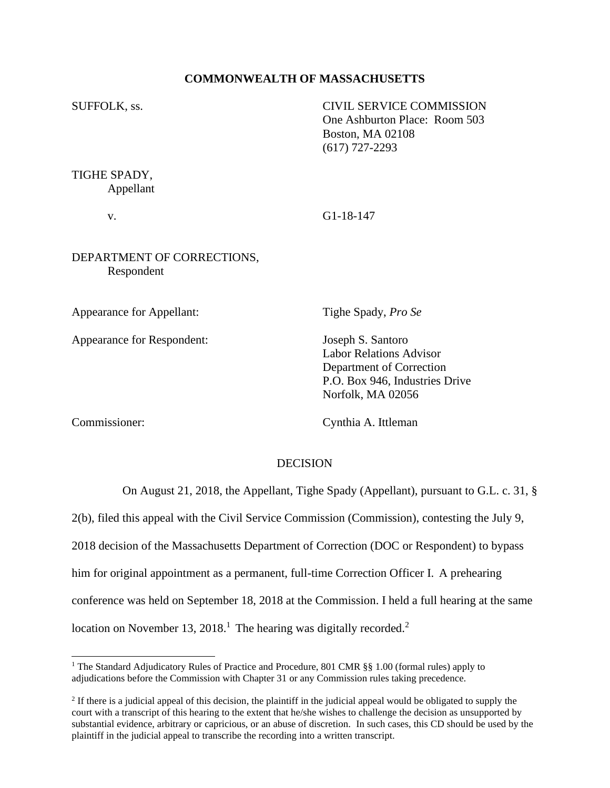# **COMMONWEALTH OF MASSACHUSETTS**

SUFFOLK, ss. CIVIL SERVICE COMMISSION One Ashburton Place: Room 503 Boston, MA 02108 (617) 727-2293

TIGHE SPADY, Appellant

v. G1-18-147

# DEPARTMENT OF CORRECTIONS, Respondent

Appearance for Appellant: Tighe Spady, *Pro Se*

Appearance for Respondent: Joseph S. Santoro

Labor Relations Advisor Department of Correction P.O. Box 946, Industries Drive Norfolk, MA 02056

Commissioner: Cynthia A. Ittleman

## DECISION

On August 21, 2018, the Appellant, Tighe Spady (Appellant), pursuant to G.L. c. 31, §

2(b), filed this appeal with the Civil Service Commission (Commission), contesting the July 9, 2018 decision of the Massachusetts Department of Correction (DOC or Respondent) to bypass him for original appointment as a permanent, full-time Correction Officer I. A prehearing conference was held on September 18, 2018 at the Commission. I held a full hearing at the same location on November 13, 2018.<sup>1</sup> The hearing was digitally recorded.<sup>2</sup>

<sup>&</sup>lt;sup>1</sup> The Standard Adjudicatory Rules of Practice and Procedure, 801 CMR §§ 1.00 (formal rules) apply to adjudications before the Commission with Chapter 31 or any Commission rules taking precedence.

 $2<sup>2</sup>$  If there is a judicial appeal of this decision, the plaintiff in the judicial appeal would be obligated to supply the court with a transcript of this hearing to the extent that he/she wishes to challenge the decision as unsupported by substantial evidence, arbitrary or capricious, or an abuse of discretion. In such cases, this CD should be used by the plaintiff in the judicial appeal to transcribe the recording into a written transcript.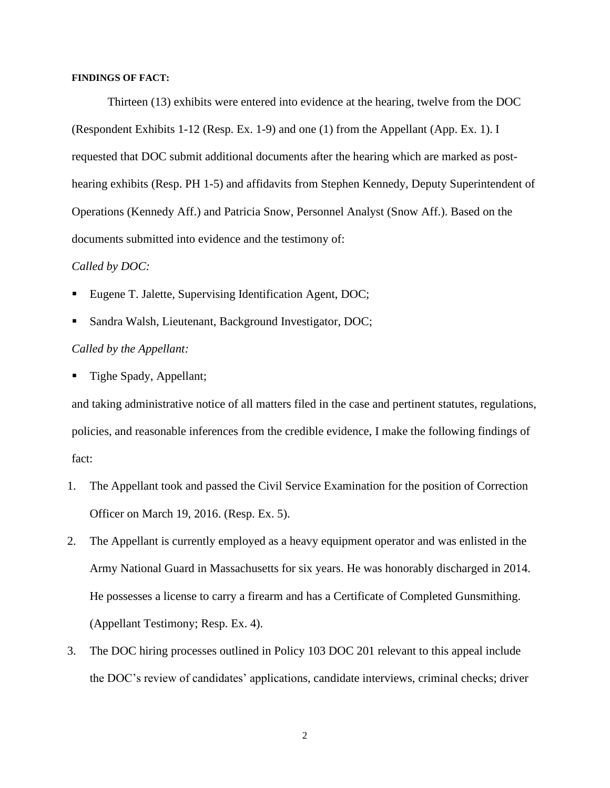### **FINDINGS OF FACT:**

Thirteen (13) exhibits were entered into evidence at the hearing, twelve from the DOC (Respondent Exhibits 1-12 (Resp. Ex. 1-9) and one (1) from the Appellant (App. Ex. 1). I requested that DOC submit additional documents after the hearing which are marked as posthearing exhibits (Resp. PH 1-5) and affidavits from Stephen Kennedy, Deputy Superintendent of Operations (Kennedy Aff.) and Patricia Snow, Personnel Analyst (Snow Aff.). Based on the documents submitted into evidence and the testimony of:

### *Called by DOC:*

- Eugene T. Jalette, Supervising Identification Agent, DOC;
- Sandra Walsh, Lieutenant, Background Investigator, DOC;

## *Called by the Appellant:*

Tighe Spady, Appellant;

and taking administrative notice of all matters filed in the case and pertinent statutes, regulations, policies, and reasonable inferences from the credible evidence, I make the following findings of fact:

- 1. The Appellant took and passed the Civil Service Examination for the position of Correction Officer on March 19, 2016. (Resp. Ex. 5).
- 2. The Appellant is currently employed as a heavy equipment operator and was enlisted in the Army National Guard in Massachusetts for six years. He was honorably discharged in 2014. He possesses a license to carry a firearm and has a Certificate of Completed Gunsmithing. (Appellant Testimony; Resp. Ex. 4).
- 3. The DOC hiring processes outlined in Policy 103 DOC 201 relevant to this appeal include the DOC's review of candidates' applications, candidate interviews, criminal checks; driver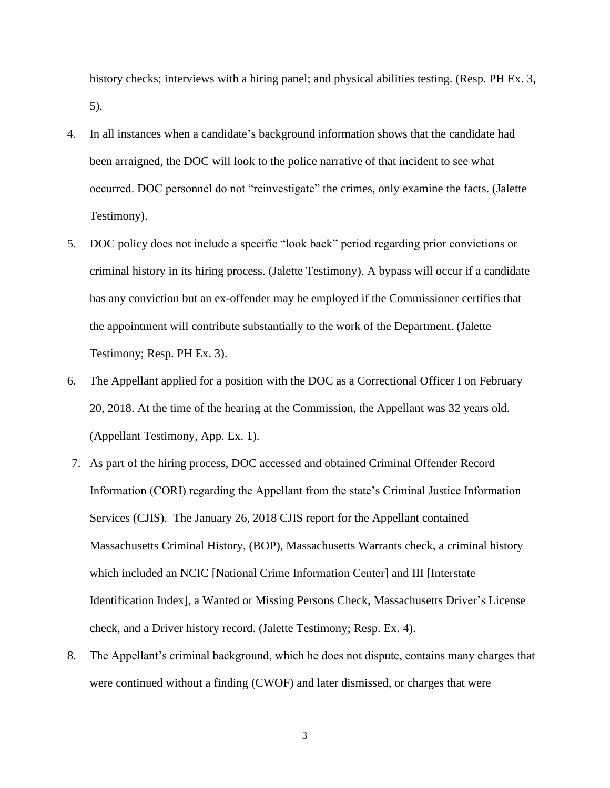history checks; interviews with a hiring panel; and physical abilities testing. (Resp. PH Ex. 3, 5).

- 4. In all instances when a candidate's background information shows that the candidate had been arraigned, the DOC will look to the police narrative of that incident to see what occurred. DOC personnel do not "reinvestigate" the crimes, only examine the facts. (Jalette Testimony).
- 5. DOC policy does not include a specific "look back" period regarding prior convictions or criminal history in its hiring process. (Jalette Testimony). A bypass will occur if a candidate has any conviction but an ex-offender may be employed if the Commissioner certifies that the appointment will contribute substantially to the work of the Department. (Jalette Testimony; Resp. PH Ex. 3).
- 6. The Appellant applied for a position with the DOC as a Correctional Officer I on February 20, 2018. At the time of the hearing at the Commission, the Appellant was 32 years old. (Appellant Testimony, App. Ex. 1).
- 7. As part of the hiring process, DOC accessed and obtained Criminal Offender Record Information (CORI) regarding the Appellant from the state's Criminal Justice Information Services (CJIS). The January 26, 2018 CJIS report for the Appellant contained Massachusetts Criminal History, (BOP), Massachusetts Warrants check, a criminal history which included an NCIC [National Crime Information Center] and III [Interstate Identification Index], a Wanted or Missing Persons Check, Massachusetts Driver's License check, and a Driver history record. (Jalette Testimony; Resp. Ex. 4).
- 8. The Appellant's criminal background, which he does not dispute, contains many charges that were continued without a finding (CWOF) and later dismissed, or charges that were

3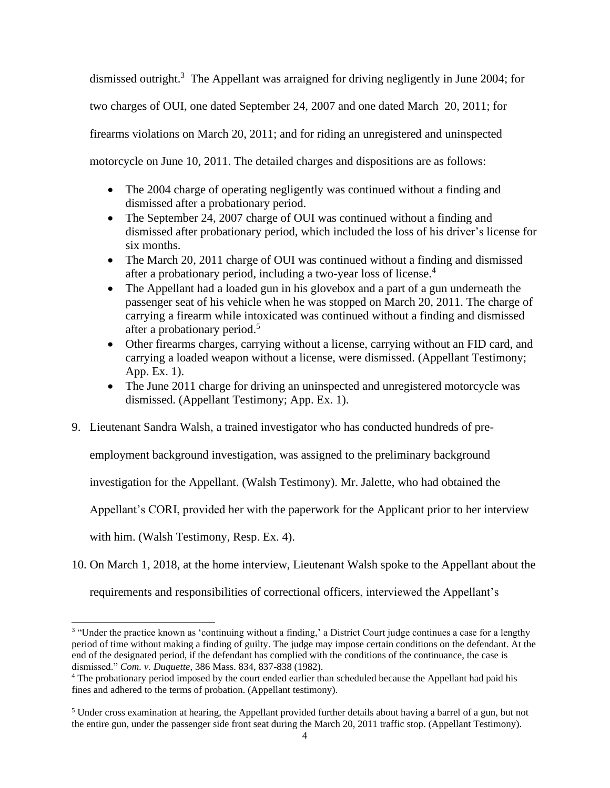dismissed outright.<sup>3</sup> The Appellant was arraigned for driving negligently in June 2004; for two charges of OUI, one dated September 24, 2007 and one dated March 20, 2011; for firearms violations on March 20, 2011; and for riding an unregistered and uninspected motorcycle on June 10, 2011. The detailed charges and dispositions are as follows:

- The 2004 charge of operating negligently was continued without a finding and dismissed after a probationary period.
- The September 24, 2007 charge of OUI was continued without a finding and dismissed after probationary period, which included the loss of his driver's license for six months.
- The March 20, 2011 charge of OUI was continued without a finding and dismissed after a probationary period, including a two-year loss of license.<sup>4</sup>
- The Appellant had a loaded gun in his glovebox and a part of a gun underneath the passenger seat of his vehicle when he was stopped on March 20, 2011. The charge of carrying a firearm while intoxicated was continued without a finding and dismissed after a probationary period.<sup>5</sup>
- Other firearms charges, carrying without a license, carrying without an FID card, and carrying a loaded weapon without a license, were dismissed. (Appellant Testimony; App. Ex. 1).
- The June 2011 charge for driving an uninspected and unregistered motorcycle was dismissed. (Appellant Testimony; App. Ex. 1).
- 9. Lieutenant Sandra Walsh, a trained investigator who has conducted hundreds of pre-

employment background investigation, was assigned to the preliminary background

investigation for the Appellant. (Walsh Testimony). Mr. Jalette, who had obtained the

Appellant's CORI, provided her with the paperwork for the Applicant prior to her interview

with him. (Walsh Testimony, Resp. Ex. 4).

10. On March 1, 2018, at the home interview, Lieutenant Walsh spoke to the Appellant about the

requirements and responsibilities of correctional officers, interviewed the Appellant's

<sup>&</sup>lt;sup>3</sup> "Under the practice known as 'continuing without a finding,' a District Court judge continues a case for a lengthy period of time without making a finding of guilty. The judge may impose certain conditions on the defendant. At the end of the designated period, if the defendant has complied with the conditions of the continuance, the case is dismissed." *Com. v. Duquette*, 386 Mass. 834, 837-838 (1982).

<sup>&</sup>lt;sup>4</sup> The probationary period imposed by the court ended earlier than scheduled because the Appellant had paid his fines and adhered to the terms of probation. (Appellant testimony).

 $<sup>5</sup>$  Under cross examination at hearing, the Appellant provided further details about having a barrel of a gun, but not</sup> the entire gun, under the passenger side front seat during the March 20, 2011 traffic stop. (Appellant Testimony).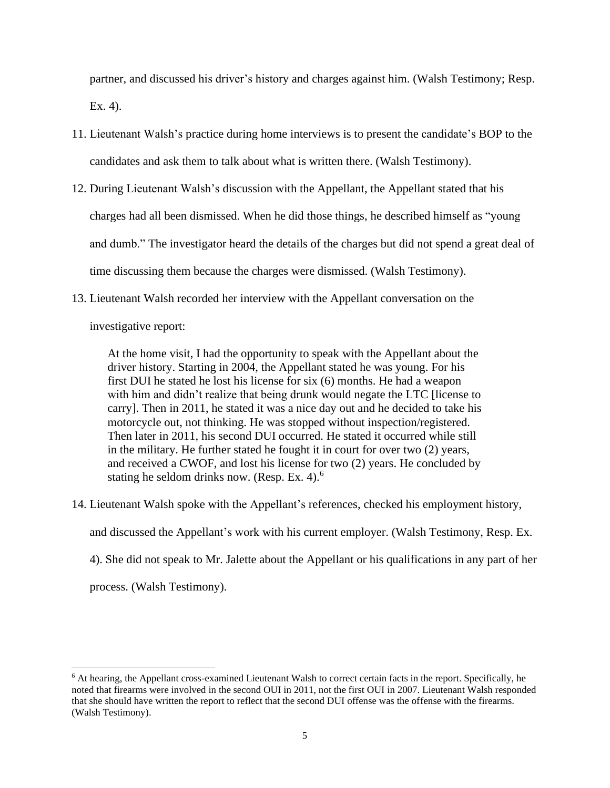partner, and discussed his driver's history and charges against him. (Walsh Testimony; Resp. Ex. 4).

- 11. Lieutenant Walsh's practice during home interviews is to present the candidate's BOP to the candidates and ask them to talk about what is written there. (Walsh Testimony).
- 12. During Lieutenant Walsh's discussion with the Appellant, the Appellant stated that his charges had all been dismissed. When he did those things, he described himself as "young and dumb." The investigator heard the details of the charges but did not spend a great deal of time discussing them because the charges were dismissed. (Walsh Testimony).
- 13. Lieutenant Walsh recorded her interview with the Appellant conversation on the

investigative report:

At the home visit, I had the opportunity to speak with the Appellant about the driver history. Starting in 2004, the Appellant stated he was young. For his first DUI he stated he lost his license for six (6) months. He had a weapon with him and didn't realize that being drunk would negate the LTC [license to carry]. Then in 2011, he stated it was a nice day out and he decided to take his motorcycle out, not thinking. He was stopped without inspection/registered. Then later in 2011, his second DUI occurred. He stated it occurred while still in the military. He further stated he fought it in court for over two (2) years, and received a CWOF, and lost his license for two (2) years. He concluded by stating he seldom drinks now. (Resp. Ex. 4).<sup>6</sup>

14. Lieutenant Walsh spoke with the Appellant's references, checked his employment history,

and discussed the Appellant's work with his current employer. (Walsh Testimony, Resp. Ex.

4). She did not speak to Mr. Jalette about the Appellant or his qualifications in any part of her

process. (Walsh Testimony).

<sup>&</sup>lt;sup>6</sup> At hearing, the Appellant cross-examined Lieutenant Walsh to correct certain facts in the report. Specifically, he noted that firearms were involved in the second OUI in 2011, not the first OUI in 2007. Lieutenant Walsh responded that she should have written the report to reflect that the second DUI offense was the offense with the firearms. (Walsh Testimony).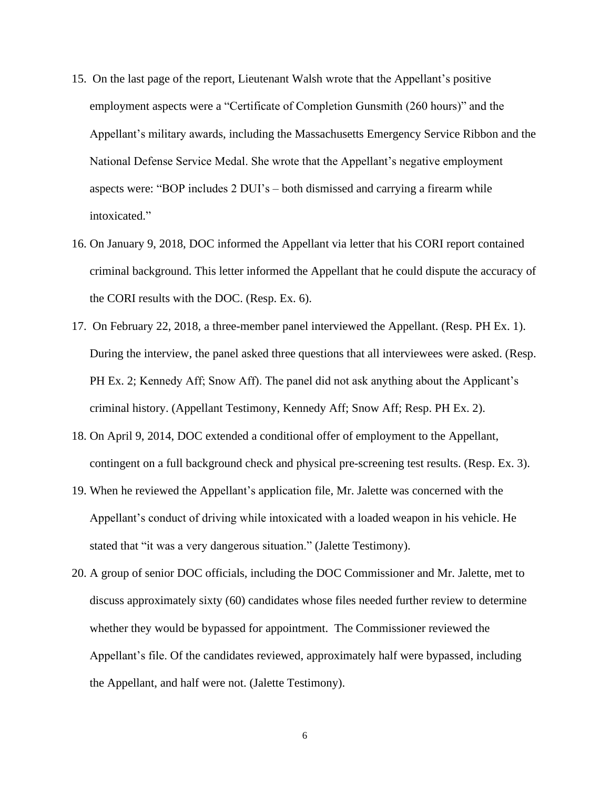- 15. On the last page of the report, Lieutenant Walsh wrote that the Appellant's positive employment aspects were a "Certificate of Completion Gunsmith (260 hours)" and the Appellant's military awards, including the Massachusetts Emergency Service Ribbon and the National Defense Service Medal. She wrote that the Appellant's negative employment aspects were: "BOP includes 2 DUI's – both dismissed and carrying a firearm while intoxicated."
- 16. On January 9, 2018, DOC informed the Appellant via letter that his CORI report contained criminal background. This letter informed the Appellant that he could dispute the accuracy of the CORI results with the DOC. (Resp. Ex. 6).
- 17. On February 22, 2018, a three-member panel interviewed the Appellant. (Resp. PH Ex. 1). During the interview, the panel asked three questions that all interviewees were asked. (Resp. PH Ex. 2; Kennedy Aff; Snow Aff). The panel did not ask anything about the Applicant's criminal history. (Appellant Testimony, Kennedy Aff; Snow Aff; Resp. PH Ex. 2).
- 18. On April 9, 2014, DOC extended a conditional offer of employment to the Appellant, contingent on a full background check and physical pre-screening test results. (Resp. Ex. 3).
- 19. When he reviewed the Appellant's application file, Mr. Jalette was concerned with the Appellant's conduct of driving while intoxicated with a loaded weapon in his vehicle. He stated that "it was a very dangerous situation." (Jalette Testimony).
- 20. A group of senior DOC officials, including the DOC Commissioner and Mr. Jalette, met to discuss approximately sixty (60) candidates whose files needed further review to determine whether they would be bypassed for appointment. The Commissioner reviewed the Appellant's file. Of the candidates reviewed, approximately half were bypassed, including the Appellant, and half were not. (Jalette Testimony).

6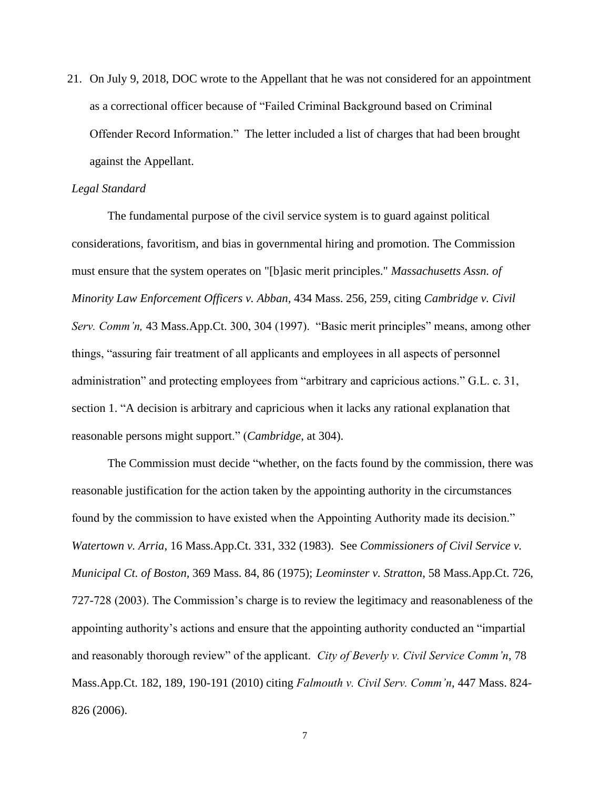21. On July 9, 2018, DOC wrote to the Appellant that he was not considered for an appointment as a correctional officer because of "Failed Criminal Background based on Criminal Offender Record Information." The letter included a list of charges that had been brought against the Appellant.

## *Legal Standard*

The fundamental purpose of the civil service system is to guard against political considerations, favoritism, and bias in governmental hiring and promotion. The Commission must ensure that the system operates on "[b]asic merit principles." *Massachusetts Assn. of Minority Law Enforcement Officers v. Abban,* 434 Mass. 256, 259, citing *Cambridge v. Civil Serv. Comm'n,* 43 Mass.App.Ct. 300, 304 (1997). "Basic merit principles" means, among other things, "assuring fair treatment of all applicants and employees in all aspects of personnel administration" and protecting employees from "arbitrary and capricious actions." G.L. c. 31, section 1. "A decision is arbitrary and capricious when it lacks any rational explanation that reasonable persons might support." (*Cambridge*, at 304).

 The Commission must decide "whether, on the facts found by the commission, there was reasonable justification for the action taken by the appointing authority in the circumstances found by the commission to have existed when the Appointing Authority made its decision." *Watertown v. Arria*, 16 Mass.App.Ct. 331, 332 (1983). See *Commissioners of Civil Service v. Municipal Ct. of Boston,* 369 Mass. 84, 86 (1975); *Leominster v. Stratton*, 58 Mass.App.Ct. 726, 727-728 (2003). The Commission's charge is to review the legitimacy and reasonableness of the appointing authority's actions and ensure that the appointing authority conducted an "impartial and reasonably thorough review" of the applicant. *City of Beverly v. Civil Service Comm'n*, 78 Mass.App.Ct. 182, 189, 190-191 (2010) citing *Falmouth v. Civil Serv. Comm'n*, 447 Mass. 824- 826 (2006).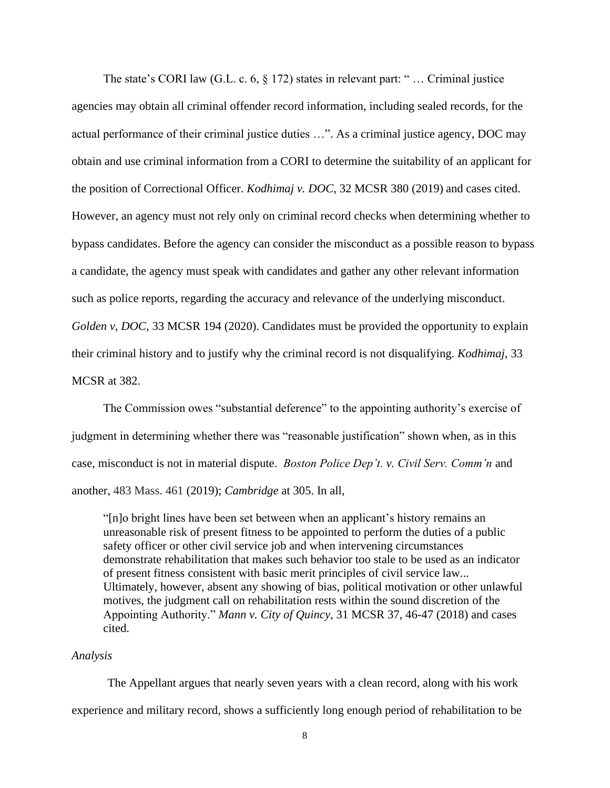The state's CORI law (G.L. c. 6, § 172) states in relevant part: " … Criminal justice agencies may obtain all criminal offender record information, including sealed records, for the actual performance of their criminal justice duties …". As a criminal justice agency, DOC may obtain and use criminal information from a CORI to determine the suitability of an applicant for the position of Correctional Officer. *Kodhimaj v. DOC*, 32 MCSR 380 (2019) and cases cited. However, an agency must not rely only on criminal record checks when determining whether to bypass candidates. Before the agency can consider the misconduct as a possible reason to bypass a candidate, the agency must speak with candidates and gather any other relevant information such as police reports, regarding the accuracy and relevance of the underlying misconduct. *Golden v, DOC*, 33 MCSR 194 (2020). Candidates must be provided the opportunity to explain their criminal history and to justify why the criminal record is not disqualifying. *Kodhimaj*, 33 MCSR at 382.

The Commission owes "substantial deference" to the appointing authority's exercise of judgment in determining whether there was "reasonable justification" shown when, as in this case, misconduct is not in material dispute. *Boston Police Dep't. v. Civil Serv. Comm'n* and another, 483 Mass. 461 (2019); *Cambridge* at 305. In all,

"[n]o bright lines have been set between when an applicant's history remains an unreasonable risk of present fitness to be appointed to perform the duties of a public safety officer or other civil service job and when intervening circumstances demonstrate rehabilitation that makes such behavior too stale to be used as an indicator of present fitness consistent with basic merit principles of civil service law... Ultimately, however, absent any showing of bias, political motivation or other unlawful motives, the judgment call on rehabilitation rests within the sound discretion of the Appointing Authority." *Mann v. City of Quincy*, 31 MCSR 37, 46-47 (2018) and cases cited.

#### *Analysis*

The Appellant argues that nearly seven years with a clean record, along with his work experience and military record, shows a sufficiently long enough period of rehabilitation to be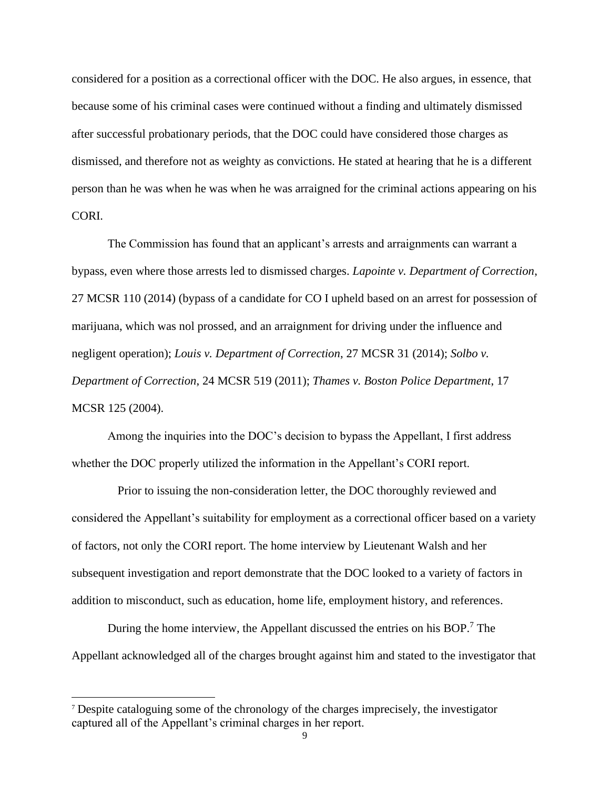considered for a position as a correctional officer with the DOC. He also argues, in essence, that because some of his criminal cases were continued without a finding and ultimately dismissed after successful probationary periods, that the DOC could have considered those charges as dismissed, and therefore not as weighty as convictions. He stated at hearing that he is a different person than he was when he was when he was arraigned for the criminal actions appearing on his CORI.

The Commission has found that an applicant's arrests and arraignments can warrant a bypass, even where those arrests led to dismissed charges. *Lapointe v. Department of Correction*, 27 MCSR 110 (2014) (bypass of a candidate for CO I upheld based on an arrest for possession of marijuana, which was nol prossed, and an arraignment for driving under the influence and negligent operation); *Louis v. Department of Correction*, 27 MCSR 31 (2014); *Solbo v. Department of Correction*, 24 MCSR 519 (2011); *Thames v. Boston Police Department*, 17 MCSR 125 (2004).

Among the inquiries into the DOC's decision to bypass the Appellant, I first address whether the DOC properly utilized the information in the Appellant's CORI report.

 Prior to issuing the non-consideration letter, the DOC thoroughly reviewed and considered the Appellant's suitability for employment as a correctional officer based on a variety of factors, not only the CORI report. The home interview by Lieutenant Walsh and her subsequent investigation and report demonstrate that the DOC looked to a variety of factors in addition to misconduct, such as education, home life, employment history, and references.

During the home interview, the Appellant discussed the entries on his BOP.<sup>7</sup> The Appellant acknowledged all of the charges brought against him and stated to the investigator that

<sup>7</sup> Despite cataloguing some of the chronology of the charges imprecisely, the investigator captured all of the Appellant's criminal charges in her report.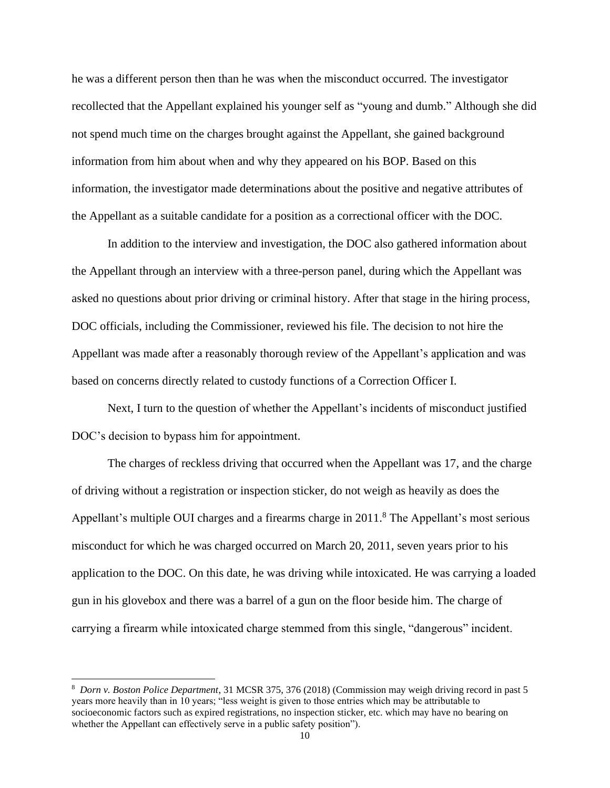he was a different person then than he was when the misconduct occurred. The investigator recollected that the Appellant explained his younger self as "young and dumb." Although she did not spend much time on the charges brought against the Appellant, she gained background information from him about when and why they appeared on his BOP. Based on this information, the investigator made determinations about the positive and negative attributes of the Appellant as a suitable candidate for a position as a correctional officer with the DOC.

In addition to the interview and investigation, the DOC also gathered information about the Appellant through an interview with a three-person panel, during which the Appellant was asked no questions about prior driving or criminal history. After that stage in the hiring process, DOC officials, including the Commissioner, reviewed his file. The decision to not hire the Appellant was made after a reasonably thorough review of the Appellant's application and was based on concerns directly related to custody functions of a Correction Officer I.

Next, I turn to the question of whether the Appellant's incidents of misconduct justified DOC's decision to bypass him for appointment.

The charges of reckless driving that occurred when the Appellant was 17, and the charge of driving without a registration or inspection sticker, do not weigh as heavily as does the Appellant's multiple OUI charges and a firearms charge in 2011.<sup>8</sup> The Appellant's most serious misconduct for which he was charged occurred on March 20, 2011, seven years prior to his application to the DOC. On this date, he was driving while intoxicated. He was carrying a loaded gun in his glovebox and there was a barrel of a gun on the floor beside him. The charge of carrying a firearm while intoxicated charge stemmed from this single, "dangerous" incident.

<sup>8</sup> *Dorn v. Boston Police Department*, 31 MCSR 375, 376 (2018) (Commission may weigh driving record in past 5 years more heavily than in 10 years; "less weight is given to those entries which may be attributable to socioeconomic factors such as expired registrations, no inspection sticker, etc. which may have no bearing on whether the Appellant can effectively serve in a public safety position").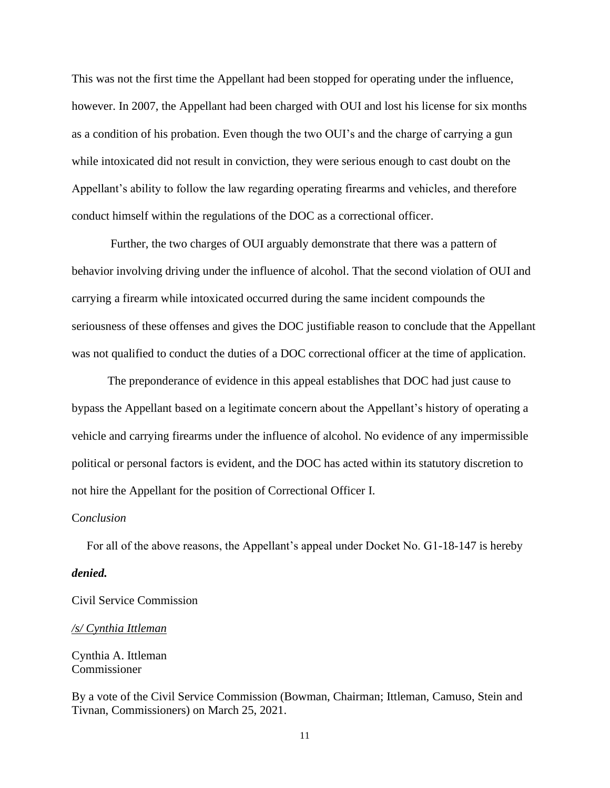This was not the first time the Appellant had been stopped for operating under the influence, however. In 2007, the Appellant had been charged with OUI and lost his license for six months as a condition of his probation. Even though the two OUI's and the charge of carrying a gun while intoxicated did not result in conviction, they were serious enough to cast doubt on the Appellant's ability to follow the law regarding operating firearms and vehicles, and therefore conduct himself within the regulations of the DOC as a correctional officer.

Further, the two charges of OUI arguably demonstrate that there was a pattern of behavior involving driving under the influence of alcohol. That the second violation of OUI and carrying a firearm while intoxicated occurred during the same incident compounds the seriousness of these offenses and gives the DOC justifiable reason to conclude that the Appellant was not qualified to conduct the duties of a DOC correctional officer at the time of application.

The preponderance of evidence in this appeal establishes that DOC had just cause to bypass the Appellant based on a legitimate concern about the Appellant's history of operating a vehicle and carrying firearms under the influence of alcohol. No evidence of any impermissible political or personal factors is evident, and the DOC has acted within its statutory discretion to not hire the Appellant for the position of Correctional Officer I.

### C*onclusion*

 For all of the above reasons, the Appellant's appeal under Docket No. G1-18-147 is hereby *denied.*

Civil Service Commission

### */s/ Cynthia Ittleman*

Cynthia A. Ittleman Commissioner

By a vote of the Civil Service Commission (Bowman, Chairman; Ittleman, Camuso, Stein and Tivnan, Commissioners) on March 25, 2021.